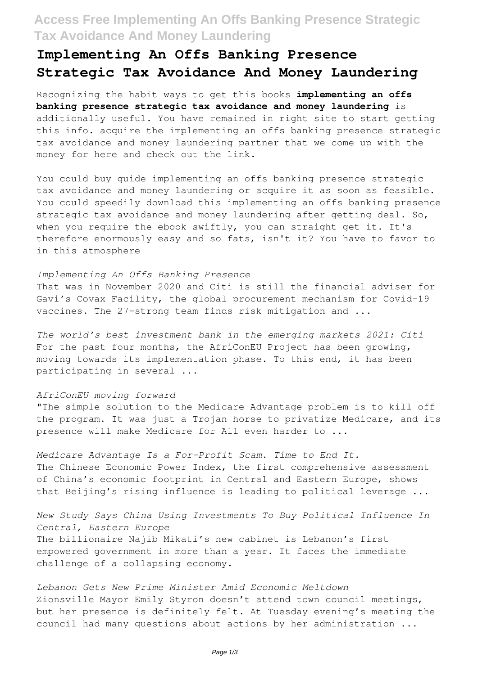## **Access Free Implementing An Offs Banking Presence Strategic Tax Avoidance And Money Laundering**

# **Implementing An Offs Banking Presence Strategic Tax Avoidance And Money Laundering**

Recognizing the habit ways to get this books **implementing an offs banking presence strategic tax avoidance and money laundering** is additionally useful. You have remained in right site to start getting this info. acquire the implementing an offs banking presence strategic tax avoidance and money laundering partner that we come up with the money for here and check out the link.

You could buy guide implementing an offs banking presence strategic tax avoidance and money laundering or acquire it as soon as feasible. You could speedily download this implementing an offs banking presence strategic tax avoidance and money laundering after getting deal. So, when you require the ebook swiftly, you can straight get it. It's therefore enormously easy and so fats, isn't it? You have to favor to in this atmosphere

#### *Implementing An Offs Banking Presence*

That was in November 2020 and Citi is still the financial adviser for Gavi's Covax Facility, the global procurement mechanism for Covid-19 vaccines. The 27-strong team finds risk mitigation and ...

*The world's best investment bank in the emerging markets 2021: Citi* For the past four months, the AfriConEU Project has been growing, moving towards its implementation phase. To this end, it has been participating in several ...

#### *AfriConEU moving forward*

"The simple solution to the Medicare Advantage problem is to kill off the program. It was just a Trojan horse to privatize Medicare, and its presence will make Medicare for All even harder to ...

*Medicare Advantage Is a For-Profit Scam. Time to End It.* The Chinese Economic Power Index, the first comprehensive assessment of China's economic footprint in Central and Eastern Europe, shows that Beijing's rising influence is leading to political leverage ...

*New Study Says China Using Investments To Buy Political Influence In Central, Eastern Europe* The billionaire Najib Mikati's new cabinet is Lebanon's first empowered government in more than a year. It faces the immediate challenge of a collapsing economy.

*Lebanon Gets New Prime Minister Amid Economic Meltdown* Zionsville Mayor Emily Styron doesn't attend town council meetings, but her presence is definitely felt. At Tuesday evening's meeting the council had many questions about actions by her administration ...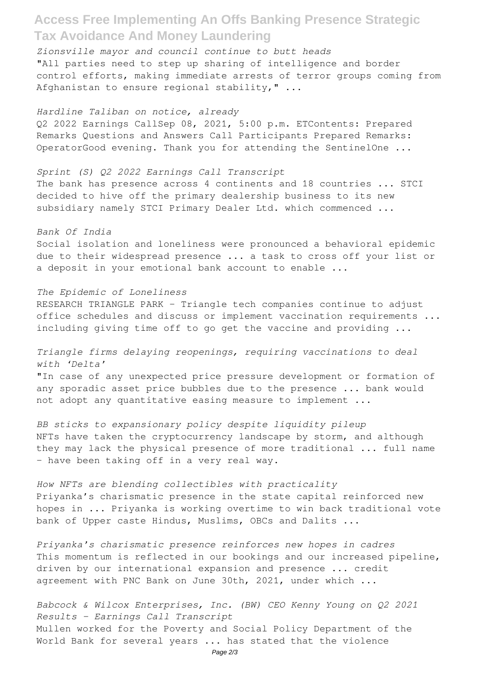## **Access Free Implementing An Offs Banking Presence Strategic Tax Avoidance And Money Laundering**

*Zionsville mayor and council continue to butt heads* "All parties need to step up sharing of intelligence and border control efforts, making immediate arrests of terror groups coming from Afghanistan to ensure regional stability," ...

*Hardline Taliban on notice, already*

Q2 2022 Earnings CallSep 08, 2021, 5:00 p.m. ETContents: Prepared Remarks Questions and Answers Call Participants Prepared Remarks: OperatorGood evening. Thank you for attending the SentinelOne ...

#### *Sprint (S) Q2 2022 Earnings Call Transcript*

The bank has presence across 4 continents and 18 countries ... STCI decided to hive off the primary dealership business to its new subsidiary namely STCI Primary Dealer Ltd. which commenced ...

#### *Bank Of India*

Social isolation and loneliness were pronounced a behavioral epidemic due to their widespread presence ... a task to cross off your list or a deposit in your emotional bank account to enable ...

#### *The Epidemic of Loneliness*

RESEARCH TRIANGLE PARK – Triangle tech companies continue to adjust office schedules and discuss or implement vaccination requirements ... including giving time off to go get the vaccine and providing ...

### *Triangle firms delaying reopenings, requiring vaccinations to deal with 'Delta'*

"In case of any unexpected price pressure development or formation of any sporadic asset price bubbles due to the presence ... bank would not adopt any quantitative easing measure to implement ...

*BB sticks to expansionary policy despite liquidity pileup* NFTs have taken the cryptocurrency landscape by storm, and although they may lack the physical presence of more traditional ... full name - have been taking off in a very real way.

*How NFTs are blending collectibles with practicality* Priyanka's charismatic presence in the state capital reinforced new hopes in ... Priyanka is working overtime to win back traditional vote bank of Upper caste Hindus, Muslims, OBCs and Dalits ...

*Priyanka's charismatic presence reinforces new hopes in cadres* This momentum is reflected in our bookings and our increased pipeline, driven by our international expansion and presence ... credit agreement with PNC Bank on June 30th, 2021, under which ...

*Babcock & Wilcox Enterprises, Inc. (BW) CEO Kenny Young on Q2 2021 Results - Earnings Call Transcript* Mullen worked for the Poverty and Social Policy Department of the World Bank for several years ... has stated that the violence